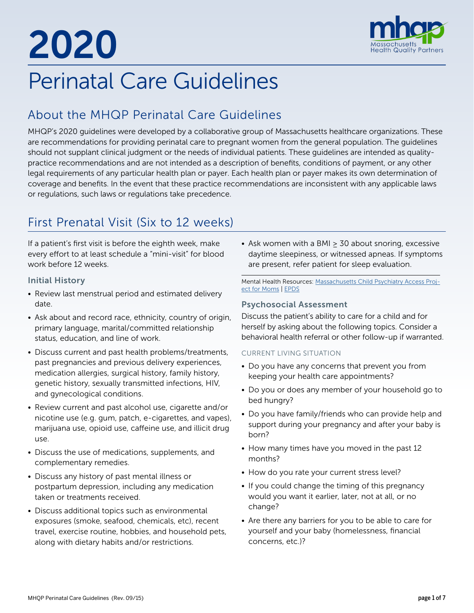# 2020



## Perinatal Care Guidelines

## About the MHQP Perinatal Care Guidelines

MHQP's 2020 guidelines were developed by a collaborative group of Massachusetts healthcare organizations. These are recommendations for providing perinatal care to pregnant women from the general population. The guidelines should not supplant clinical judgment or the needs of individual patients. These guidelines are intended as qualitypractice recommendations and are not intended as a description of benefits, conditions of payment, or any other legal requirements of any particular health plan or payer. Each health plan or payer makes its own determination of coverage and benefits. In the event that these practice recommendations are inconsistent with any applicable laws or regulations, such laws or regulations take precedence.

## First Prenatal Visit (Six to 12 weeks)

If a patient's first visit is before the eighth week, make every effort to at least schedule a "mini-visit" for blood work before 12 weeks.

#### Initial History

- Review last menstrual period and estimated delivery date.
- Ask about and record race, ethnicity, country of origin, primary language, marital/committed relationship status, education, and line of work.
- Discuss current and past health problems/treatments, past pregnancies and previous delivery experiences, medication allergies, surgical history, family history, genetic history, sexually transmitted infections, HIV, and gynecological conditions.
- Review current and past alcohol use, cigarette and/or nicotine use (e.g. gum, patch, e-cigarettes, and vapes), marijuana use, opioid use, caffeine use, and illicit drug use.
- Discuss the use of medications, supplements, and complementary remedies.
- Discuss any history of past mental illness or postpartum depression, including any medication taken or treatments received.
- Discuss additional topics such as environmental exposures (smoke, seafood, chemicals, etc), recent travel, exercise routine, hobbies, and household pets, along with dietary habits and/or restrictions.

• Ask women with a BMI ≥ 30 about snoring, excessive daytime sleepiness, or witnessed apneas. If symptoms are present, refer patient for sleep evaluation.

Mental Health Resources: [Massachusetts Child Psychiatry Access Proj](https://www.mcpapformoms.org/)[ect for Moms](https://www.mcpapformoms.org/) | [EPDS](https://psychology-tools.com/test/epds)

#### Psychosocial Assessment

Discuss the patient's ability to care for a child and for herself by asking about the following topics. Consider a behavioral health referral or other follow-up if warranted.

#### CURRENT LIVING SITUATION

- Do you have any concerns that prevent you from keeping your health care appointments?
- Do you or does any member of your household go to bed hungry?
- Do you have family/friends who can provide help and support during your pregnancy and after your baby is born?
- How many times have you moved in the past 12 months?
- How do you rate your current stress level?
- If you could change the timing of this pregnancy would you want it earlier, later, not at all, or no change?
- Are there any barriers for you to be able to care for yourself and your baby (homelessness, financial concerns, etc.)?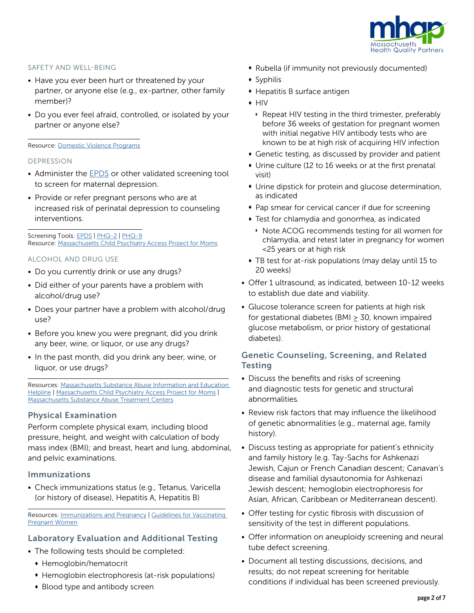

#### SAFETY AND WELL-BEING

- Have you ever been hurt or threatened by your partner, or anyone else (e.g., ex-partner, other family member)?
- Do you ever feel afraid, controlled, or isolated by your partner or anyone else?

#### Resource: [Domestic Violence Programs](https://www.mass.gov/service-details/domestic-violence-programs)

#### DEPRESSION

- Administer the **EPDS** or other validated screening tool to screen for maternal depression.
- Provide or refer pregnant persons who are at increased risk of perinatal depression to counseling interventions.

Screening Tools: [EPDS](http://www.fresno.ucsf.edu/pediatrics/downloads/edinburghscale.pdf) | [PHQ-2](https://www.hiv.uw.edu/page/mental-health-screening/phq-2) | [PHQ-9](http://www.phqscreeners.com/sites/g/files/g10016261/f/201412/PHQ-9_English.pdf) Resource: [Massachusetts Child Psychiatry Access Project for Moms](https://www.mcpapformoms.org/)

#### ALCOHOL AND DRUG USE

- Do you currently drink or use any drugs?
- Did either of your parents have a problem with alcohol/drug use?
- Does your partner have a problem with alcohol/drug use?
- Before you knew you were pregnant, did you drink any beer, wine, or liquor, or use any drugs?
- In the past month, did you drink any beer, wine, or liquor, or use drugs?

Resources: [Massachusetts Substance Abuse Information and Education](https://helplinema.org/)  [Helpline](https://helplinema.org/) | [Massachusetts Child Psychiatry Access Project for Moms](https://www.mcpapformoms.org/) | [Massachusetts Substance Abuse Treatment Centers](https://drugabuse.com/usa/drug-abuse/massachusetts/)

#### Physical Examination

Perform complete physical exam, including blood pressure, height, and weight with calculation of body mass index (BMI); and breast, heart and lung, abdominal, and pelvic examinations.

#### Immunizations

• Check immunizations status (e.g., Tetanus, Varicella (or history of disease), Hepatitis A, Hepatitis B)

Resources: [Immunizations and Pregnancy](https://www.cdc.gov/vaccines/pregnancy/pregnant-women/index.html) | [Guidelines for Vaccinating](https://www.cdc.gov/vaccines/pregnancy/hcp-toolkit/guidelines.html?CDC_AA_refVal=https%3A%2F%2Fwww.cdc.gov%2Fvaccines%2Fpregnancy%2Fhcp%2Fguidelines.html)  [Pregnant Women](https://www.cdc.gov/vaccines/pregnancy/hcp-toolkit/guidelines.html?CDC_AA_refVal=https%3A%2F%2Fwww.cdc.gov%2Fvaccines%2Fpregnancy%2Fhcp%2Fguidelines.html)

#### Laboratory Evaluation and Additional Testing

- The following tests should be completed:
	- Hemoglobin/hematocrit
	- Hemoglobin electrophoresis (at-risk populations)
	- Blood type and antibody screen
- Rubella (if immunity not previously documented)
- $\bullet$  Syphilis
- $\bullet$  Hepatitis B surface antigen
- $\bullet$  HIV
	- } Repeat HIV testing in the third trimester, preferably before 36 weeks of gestation for pregnant women with initial negative HIV antibody tests who are known to be at high risk of acquiring HIV infection
- $\bullet$  Genetic testing, as discussed by provider and patient
- $\bullet$  Urine culture (12 to 16 weeks or at the first prenatal visit)
- $\bullet$  Urine dipstick for protein and glucose determination, as indicated
- Pap smear for cervical cancer if due for screening
- **•** Test for chlamydia and gonorrhea, as indicated
- } Note ACOG recommends testing for all women for chlamydia, and retest later in pregnancy for women <25 years or at high risk
- TB test for at-risk populations (may delay until 15 to 20 weeks)
- Offer 1 ultrasound, as indicated, between 10-12 weeks to establish due date and viability.
- Glucose tolerance screen for patients at high risk for gestational diabetes (BMI  $\geq$  30, known impaired glucose metabolism, or prior history of gestational diabetes).

#### Genetic Counseling, Screening, and Related **Testing**

- Discuss the benefits and risks of screening and diagnostic tests for genetic and structural abnormalities.
- Review risk factors that may influence the likelihood of genetic abnormalities (e.g., maternal age, family history).
- Discuss testing as appropriate for patient's ethnicity and family history (e.g. Tay-Sachs for Ashkenazi Jewish, Cajun or French Canadian descent; Canavan's disease and familial dysautonomia for Ashkenazi Jewish descent; hemoglobin electrophoresis for Asian, African, Caribbean or Mediterranean descent).
- Offer testing for cystic fibrosis with discussion of sensitivity of the test in different populations.
- Offer information on aneuploidy screening and neural tube defect screening.
- Document all testing discussions, decisions, and results; do not repeat screening for heritable conditions if individual has been screened previously.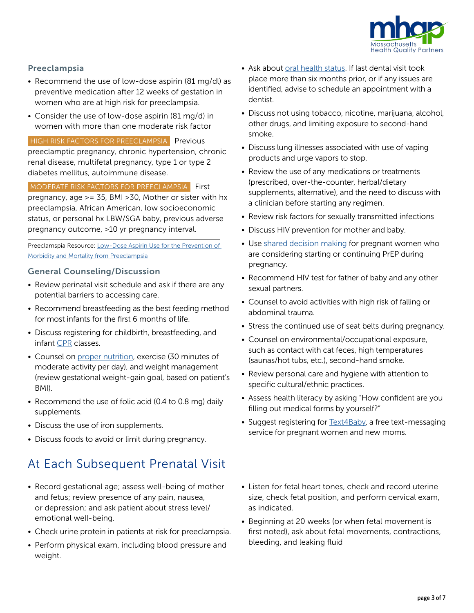

#### Preeclampsia

- Recommend the use of low-dose aspirin (81 mg/dl) as preventive medication after 12 weeks of gestation in women who are at high risk for preeclampsia.
- Consider the use of low-dose aspirin (81 mg/d) in women with more than one moderate risk factor

HIGH RISK FACTORS FOR PREECLAMPSIA Previous preeclamptic pregnancy, chronic hypertension, chronic renal disease, multifetal pregnancy, type 1 or type 2 diabetes mellitus, autoimmune disease.

MODERATE RISK FACTORS FOR PREECLAMPSIA First pregnancy, age >= 35, BMI >30, Mother or sister with hx preeclampsia, African American, low socioeconomic status, or personal hx LBW/SGA baby, previous adverse pregnancy outcome, >10 yr pregnancy interval.

Preeclamspia Resource: [Low-Dose Aspirin Use for the Prevention of](https://www.uspreventiveservicestaskforce.org/Page/Document/RecommendationStatementFinal/low-dose-aspirin-use-for-the-prevention-of-morbidity-and-mortality-from-preeclampsia-preventive-medication)  [Morbidity and Mortality from Preeclampsia](https://www.uspreventiveservicestaskforce.org/Page/Document/RecommendationStatementFinal/low-dose-aspirin-use-for-the-prevention-of-morbidity-and-mortality-from-preeclampsia-preventive-medication)

#### General Counseling/Discussion

- Review perinatal visit schedule and ask if there are any potential barriers to accessing care.
- Recommend breastfeeding as the best feeding method for most infants for the first 6 months of life.
- Discuss registering for childbirth, breastfeeding, and infant [CPR](https://www.redcross.org/take-a-class/cpr) classes.
- Counsel on [proper nutrition,](https://www.acog.org/Patients/FAQs/Nutrition-During-Pregnancy) exercise (30 minutes of moderate activity per day), and weight management (review gestational weight-gain goal, based on patient's BMI).
- Recommend the use of folic acid (0.4 to 0.8 mg) daily supplements.
- Discuss the use of iron supplements.
- Discuss foods to avoid or limit during pregnancy.

## At Each Subsequent Prenatal Visit

- Record gestational age; assess well-being of mother and fetus; review presence of any pain, nausea, or depression; and ask patient about stress level/ emotional well-being.
- Check urine protein in patients at risk for preeclampsia.
- Perform physical exam, including blood pressure and weight.
- Ask about [oral health status.](https://www.mchoralhealth.org/) If last dental visit took place more than six months prior, or if any issues are identified, advise to schedule an appointment with a dentist.
- Discuss not using tobacco, nicotine, marijuana, alcohol, other drugs, and limiting exposure to second-hand smoke.
- Discuss lung illnesses associated with use of vaping products and urge vapors to stop.
- Review the use of any medications or treatments (prescribed, over-the-counter, herbal/dietary supplements, alternative), and the need to discuss with a clinician before starting any regimen.
- Review risk factors for sexually transmitted infections
- Discuss HIV prevention for mother and baby.
- Use [shared decision making](https://jamanetwork.com/journals/jama/fullarticle/2735509) for pregnant women who are considering starting or continuing PrEP during pregnancy.
- Recommend HIV test for father of baby and any other sexual partners.
- Counsel to avoid activities with high risk of falling or abdominal trauma.
- Stress the continued use of seat belts during pregnancy.
- Counsel on environmental/occupational exposure, such as contact with cat feces, high temperatures (saunas/hot tubs, etc.), second-hand smoke.
- Review personal care and hygiene with attention to specific cultural/ethnic practices.
- Assess health literacy by asking "How confident are you filling out medical forms by yourself?"
- Suggest registering for **[Text4Baby](https://www.text4baby.org/)**, a free text-messaging service for pregnant women and new moms.
- Listen for fetal heart tones, check and record uterine size, check fetal position, and perform cervical exam, as indicated.
- Beginning at 20 weeks (or when fetal movement is first noted), ask about fetal movements, contractions, bleeding, and leaking fluid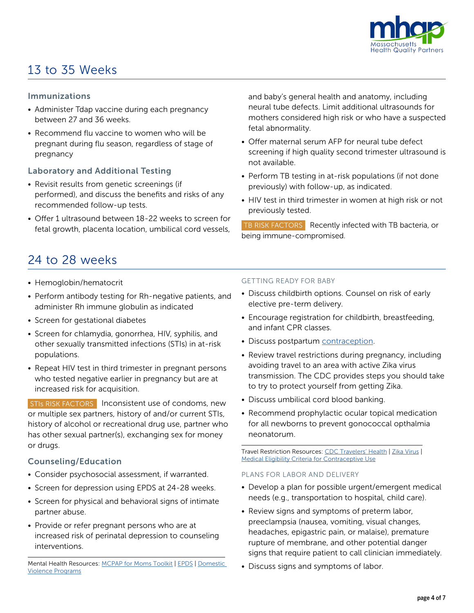

## 13 to 35 Weeks

#### Immunizations

- Administer Tdap vaccine during each pregnancy between 27 and 36 weeks.
- Recommend flu vaccine to women who will be pregnant during flu season, regardless of stage of pregnancy

#### Laboratory and Additional Testing

- Revisit results from genetic screenings (if performed), and discuss the benefits and risks of any recommended follow-up tests.
- Offer 1 ultrasound between 18-22 weeks to screen for fetal growth, placenta location, umbilical cord vessels,

and baby's general health and anatomy, including neural tube defects. Limit additional ultrasounds for mothers considered high risk or who have a suspected fetal abnormality.

- Offer maternal serum AFP for neural tube defect screening if high quality second trimester ultrasound is not available.
- Perform TB testing in at-risk populations (if not done previously) with follow-up, as indicated.
- HIV test in third trimester in women at high risk or not previously tested.

TB RISK FACTORS Recently infected with TB bacteria, or being immune-compromised.

## 24 to 28 weeks

- Hemoglobin/hematocrit
- Perform antibody testing for Rh-negative patients, and administer Rh immune globulin as indicated
- Screen for gestational diabetes
- Screen for chlamydia, gonorrhea, HIV, syphilis, and other sexually transmitted infections (STIs) in at-risk populations.
- Repeat HIV test in third trimester in pregnant persons who tested negative earlier in pregnancy but are at increased risk for acquisition.

STIs RISK FACTORS | Inconsistent use of condoms, new or multiple sex partners, history of and/or current STIs, history of alcohol or recreational drug use, partner who has other sexual partner(s), exchanging sex for money or drugs.

#### Counseling/Education

- Consider psychosocial assessment, if warranted.
- Screen for depression using EPDS at 24-28 weeks.
- Screen for physical and behavioral signs of intimate partner abuse.
- Provide or refer pregnant persons who are at increased risk of perinatal depression to counseling interventions.

#### GETTING READY FOR BABY

- Discuss childbirth options. Counsel on risk of early elective pre-term delivery.
- Encourage registration for childbirth, breastfeeding, and infant CPR classes.
- Discuss postpartum [contraception](https://www.cdc.gov/reproductivehealth/contraception/pdf/summary-chart-us-medical-eligibility-criteria_508tagged.pdf).
- Review travel restrictions during pregnancy, including avoiding travel to an area with active Zika virus transmission. The CDC provides steps you should take to try to protect yourself from getting Zika.
- Discuss umbilical cord blood banking.
- Recommend prophylactic ocular topical medication for all newborns to prevent gonococcal opthalmia neonatorum.

Travel Restriction Resources: [CDC Travelers' Health](https://wwwnc.cdc.gov/travel) | [Zika Virus](https://www.cdc.gov/pregnancy/zika/testing-follow-up/pregnant-woman.html?CDC_AA_refVal=https%3A%2F%2Fwww.cdc.gov%2Fzika%2Fhc-providers%2Fpregnant-woman.html) | [Medical Eligibility Criteria for Contraceptive Use](https://www.cdc.gov/reproductivehealth/contraception/mmwr/mec/summary.html)

#### PLANS FOR LABOR AND DELIVERY

- Develop a plan for possible urgent/emergent medical needs (e.g., transportation to hospital, child care).
- Review signs and symptoms of preterm labor, preeclampsia (nausea, vomiting, visual changes, headaches, epigastric pain, or malaise), premature rupture of membrane, and other potential danger signs that require patient to call clinician immediately.
- Discuss signs and symptoms of labor.

Mental Health Resources: [MCPAP for Moms Toolkit](https://www.mcpapformoms.org/Toolkits/Toolkit.aspx) | [EPDS](http://www.fresno.ucsf.edu/pediatrics/downloads/edinburghscale.pdf) | [Domestic](https://www.mass.gov/service-details/domestic-violence-programs)  [Violence Programs](https://www.mass.gov/service-details/domestic-violence-programs)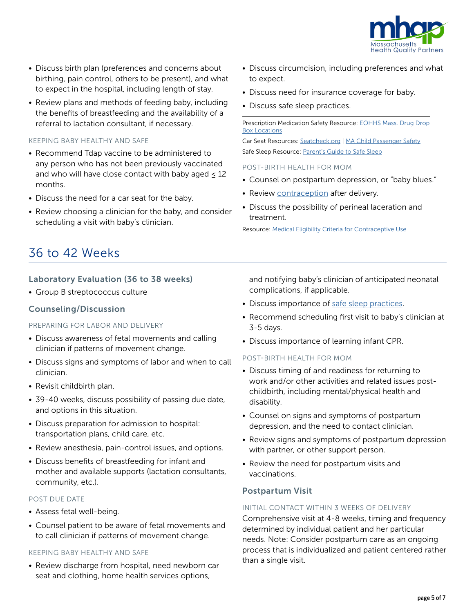

- Discuss birth plan (preferences and concerns about birthing, pain control, others to be present), and what to expect in the hospital, including length of stay.
- Review plans and methods of feeding baby, including the benefits of breastfeeding and the availability of a referral to lactation consultant, if necessary.

#### KEEPING BABY HEALTHY AND SAFE

- Recommend Tdap vaccine to be administered to any person who has not been previously vaccinated and who will have close contact with baby aged  $\leq 12$ months.
- Discuss the need for a car seat for the baby.
- Review choosing a clinician for the baby, and consider scheduling a visit with baby's clinician.
- Discuss circumcision, including preferences and what to expect.
- Discuss need for insurance coverage for baby.
- Discuss safe sleep practices.

Prescription Medication Safety Resource: [EOHHS Mass. Drug Drop](https://www.mass.gov/files/documents/2016/07/nx/ma-cities-and-towns-with-prescription-dropboxes.pdf)  [Box Locations](https://www.mass.gov/files/documents/2016/07/nx/ma-cities-and-towns-with-prescription-dropboxes.pdf)

Car Seat Resources: [Seatcheck.org](https://www.nhtsa.gov/equipment/car-seats-and-booster-seats) | [MA Child Passenger Safety](https://www.mass.gov/car-seat-safety) Safe Sleep Resource: [Parent's Guide to Safe Sleep](https://www.in.gov/dcs/images/SIDSparentsafesleep.pdf)

#### POST-BIRTH HEALTH FOR MOM

- Counsel on postpartum depression, or "baby blues."
- Review *contraception* after delivery.
- Discuss the possibility of perineal laceration and treatment.

Resource: [Medical Eligibility Criteria for Contraceptive Use](https://www.cdc.gov/reproductivehealth/contraception/mmwr/mec/summary.html)

### 36 to 42 Weeks

#### Laboratory Evaluation (36 to 38 weeks)

• Group B streptococcus culture

#### Counseling/Discussion

#### PREPARING FOR LABOR AND DELIVERY

- Discuss awareness of fetal movements and calling clinician if patterns of movement change.
- Discuss signs and symptoms of labor and when to call clinician.
- Revisit childbirth plan.
- 39-40 weeks, discuss possibility of passing due date, and options in this situation.
- Discuss preparation for admission to hospital: transportation plans, child care, etc.
- Review anesthesia, pain-control issues, and options.
- Discuss benefits of breastfeeding for infant and mother and available supports (lactation consultants, community, etc.).

#### POST DUE DATE

- Assess fetal well-being.
- Counsel patient to be aware of fetal movements and to call clinician if patterns of movement change.

#### KEEPING BABY HEALTHY AND SAFE

• Review discharge from hospital, need newborn car seat and clothing, home health services options,

and notifying baby's clinician of anticipated neonatal complications, if applicable.

- Discuss importance of [safe sleep practices](https://www.in.gov/dcs/images/SIDSparentsafesleep.pdf).
- Recommend scheduling first visit to baby's clinician at 3-5 days.
- Discuss importance of learning infant CPR.

#### POST-BIRTH HEALTH FOR MOM

- Discuss timing of and readiness for returning to work and/or other activities and related issues postchildbirth, including mental/physical health and disability.
- Counsel on signs and symptoms of postpartum depression, and the need to contact clinician.
- Review signs and symptoms of postpartum depression with partner, or other support person.
- Review the need for postpartum visits and vaccinations.

#### Postpartum Visit

#### INITIAL CONTACT WITHIN 3 WEEKS OF DELIVERY

Comprehensive visit at 4-8 weeks, timing and frequency determined by individual patient and her particular needs. Note: Consider postpartum care as an ongoing process that is individualized and patient centered rather than a single visit.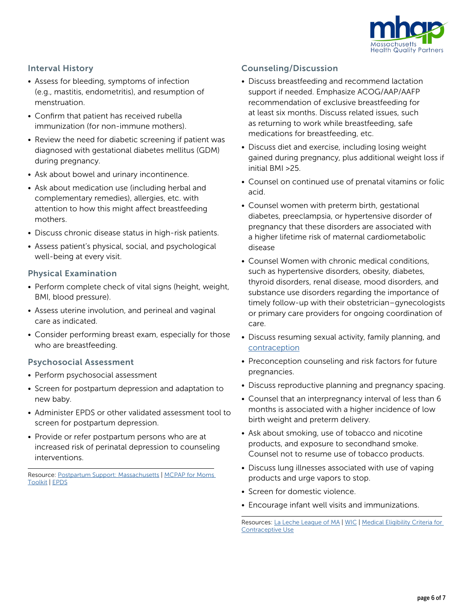

#### Interval History

- Assess for bleeding, symptoms of infection (e.g., mastitis, endometritis), and resumption of menstruation.
- Confirm that patient has received rubella immunization (for non-immune mothers).
- Review the need for diabetic screening if patient was diagnosed with gestational diabetes mellitus (GDM) during pregnancy.
- Ask about bowel and urinary incontinence.
- Ask about medication use (including herbal and complementary remedies), allergies, etc. with attention to how this might affect breastfeeding mothers.
- Discuss chronic disease status in high-risk patients.
- Assess patient's physical, social, and psychological well-being at every visit.

#### Physical Examination

- Perform complete check of vital signs (height, weight, BMI, blood pressure).
- Assess uterine involution, and perineal and vaginal care as indicated.
- Consider performing breast exam, especially for those who are breastfeeding.

#### Psychosocial Assessment

- Perform psychosocial assessment
- Screen for postpartum depression and adaptation to new baby.
- Administer EPDS or other validated assessment tool to screen for postpartum depression.
- Provide or refer postpartum persons who are at increased risk of perinatal depression to counseling interventions.

Resource: [Postpartum Support: Massachusetts](https://www.postpartum.net/locations/massachusetts/) | MCPAP for Moms [Toolkit](https://www.mcpapformoms.org/Toolkits/Toolkit.aspx) | [EPDS](http://www.fresno.ucsf.edu/pediatrics/downloads/edinburghscale.pdf)

#### Counseling/Discussion

- Discuss breastfeeding and recommend lactation support if needed. Emphasize ACOG/AAP/AAFP recommendation of exclusive breastfeeding for at least six months. Discuss related issues, such as returning to work while breastfeeding, safe medications for breastfeeding, etc.
- Discuss diet and exercise, including losing weight gained during pregnancy, plus additional weight loss if initial BMI >25.
- Counsel on continued use of prenatal vitamins or folic acid.
- Counsel women with preterm birth, gestational diabetes, preeclampsia, or hypertensive disorder of pregnancy that these disorders are associated with a higher lifetime risk of maternal cardiometabolic disease
- Counsel Women with chronic medical conditions, such as hypertensive disorders, obesity, diabetes, thyroid disorders, renal disease, mood disorders, and substance use disorders regarding the importance of timely follow-up with their obstetrician–gynecologists or primary care providers for ongoing coordination of care.
- Discuss resuming sexual activity, family planning, and [contraception](https://www.cdc.gov/reproductivehealth/contraception/pdf/summary-chart-us-medical-eligibility-criteria_508tagged.pdf)
- Preconception counseling and risk factors for future pregnancies.
- Discuss reproductive planning and pregnancy spacing.
- Counsel that an interpregnancy interval of less than 6 months is associated with a higher incidence of low birth weight and preterm delivery.
- Ask about smoking, use of tobacco and nicotine products, and exposure to secondhand smoke. Counsel not to resume use of tobacco products.
- Discuss lung illnesses associated with use of vaping products and urge vapors to stop.
- Screen for domestic violence.
- Encourage infant well visits and immunizations.

Resources: [La Leche League of MA](https://www.lllmarivt.org/) | [WIC](https://www.mass.gov/women-infants-children-wic-nutrition-program) | Medical Eligibility Criteria for [Contraceptive Use](https://www.cdc.gov/reproductivehealth/contraception/mmwr/mec/summary.html)